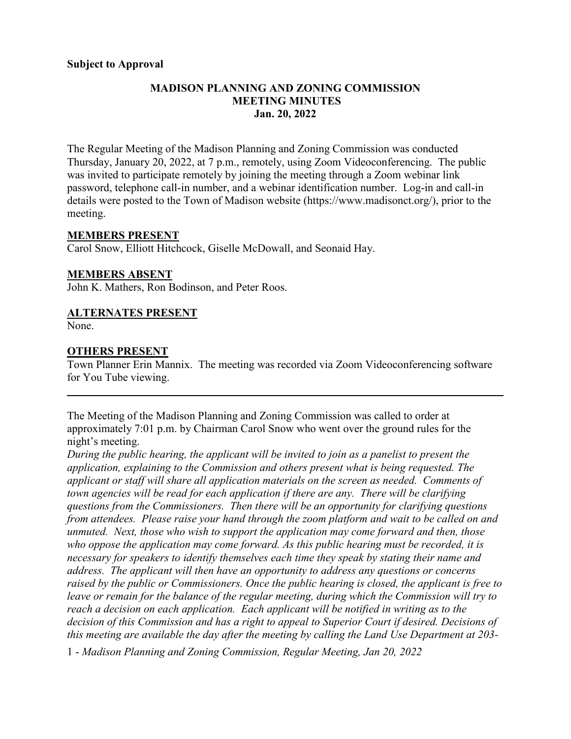#### **Subject to Approval**

# **MADISON PLANNING AND ZONING COMMISSION MEETING MINUTES Jan. 20, 2022**

The Regular Meeting of the Madison Planning and Zoning Commission was conducted Thursday, January 20, 2022, at 7 p.m., remotely, using Zoom Videoconferencing. The public was invited to participate remotely by joining the meeting through a Zoom webinar link password, telephone call-in number, and a webinar identification number. Log-in and call-in details were posted to the Town of Madison website [\(https://www.madisonct.org/\)](https://www.madisonct.org/), prior to the meeting.

#### **MEMBERS PRESENT**

Carol Snow, Elliott Hitchcock, Giselle McDowall, and Seonaid Hay.

### **MEMBERS ABSENT**

John K. Mathers, Ron Bodinson, and Peter Roos.

### **ALTERNATES PRESENT**

None.

#### **OTHERS PRESENT**

Town Planner Erin Mannix. The meeting was recorded via Zoom Videoconferencing software for You Tube viewing.

 $\mathcal{L}_\mathcal{L} = \mathcal{L}_\mathcal{L} = \mathcal{L}_\mathcal{L} = \mathcal{L}_\mathcal{L} = \mathcal{L}_\mathcal{L} = \mathcal{L}_\mathcal{L} = \mathcal{L}_\mathcal{L} = \mathcal{L}_\mathcal{L} = \mathcal{L}_\mathcal{L} = \mathcal{L}_\mathcal{L} = \mathcal{L}_\mathcal{L} = \mathcal{L}_\mathcal{L} = \mathcal{L}_\mathcal{L} = \mathcal{L}_\mathcal{L} = \mathcal{L}_\mathcal{L} = \mathcal{L}_\mathcal{L} = \mathcal{L}_\mathcal{L}$ 

The Meeting of the Madison Planning and Zoning Commission was called to order at approximately 7:01 p.m. by Chairman Carol Snow who went over the ground rules for the night's meeting.

*During the public hearing, the applicant will be invited to join as a panelist to present the application, explaining to the Commission and others present what is being requested. The applicant or staff will share all application materials on the screen as needed. Comments of town agencies will be read for each application if there are any. There will be clarifying questions from the Commissioners. Then there will be an opportunity for clarifying questions from attendees. Please raise your hand through the zoom platform and wait to be called on and unmuted. Next, those who wish to support the application may come forward and then, those who oppose the application may come forward. As this public hearing must be recorded, it is necessary for speakers to identify themselves each time they speak by stating their name and address. The applicant will then have an opportunity to address any questions or concerns raised by the public or Commissioners. Once the public hearing is closed, the applicant is free to leave or remain for the balance of the regular meeting, during which the Commission will try to reach a decision on each application. Each applicant will be notified in writing as to the decision of this Commission and has a right to appeal to Superior Court if desired. Decisions of this meeting are available the day after the meeting by calling the Land Use Department at 203-*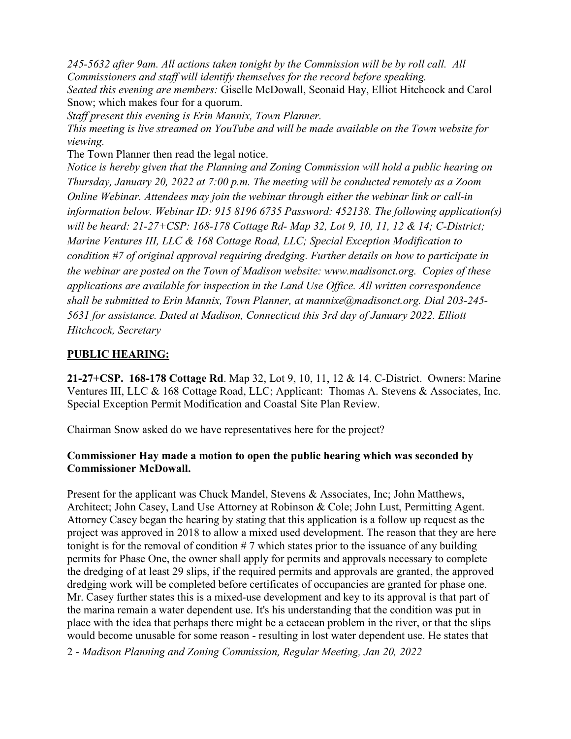*245-5632 after 9am. All actions taken tonight by the Commission will be by roll call. All Commissioners and staff will identify themselves for the record before speaking. Seated this evening are members:* Giselle McDowall, Seonaid Hay, Elliot Hitchcock and Carol

Snow; which makes four for a quorum.

*Staff present this evening is Erin Mannix, Town Planner.* 

*This meeting is live streamed on YouTube and will be made available on the Town website for viewing.* 

The Town Planner then read the legal notice.

*Notice is hereby given that the Planning and Zoning Commission will hold a public hearing on Thursday, January 20, 2022 at 7:00 p.m. The meeting will be conducted remotely as a Zoom Online Webinar. Attendees may join the webinar through either the webinar link or call-in information below. Webinar ID: 915 8196 6735 Password: 452138. The following application(s) will be heard: 21-27+CSP: 168-178 Cottage Rd- Map 32, Lot 9, 10, 11, 12 & 14; C-District; Marine Ventures III, LLC & 168 Cottage Road, LLC; Special Exception Modification to condition #7 of original approval requiring dredging. Further details on how to participate in the webinar are posted on the Town of Madison website: www.madisonct.org. Copies of these applications are available for inspection in the Land Use Office. All written correspondence shall be submitted to Erin Mannix, Town Planner, at mannixe@madisonct.org. Dial 203-245- 5631 for assistance. Dated at Madison, Connecticut this 3rd day of January 2022. Elliott Hitchcock, Secretary*

# **PUBLIC HEARING:**

**21-27+CSP. 168-178 Cottage Rd**. Map 32, Lot 9, 10, 11, 12 & 14. C-District. Owners: Marine Ventures III, LLC & 168 Cottage Road, LLC; Applicant: Thomas A. Stevens & Associates, Inc. Special Exception Permit Modification and Coastal Site Plan Review.

Chairman Snow asked do we have representatives here for the project?

# **Commissioner Hay made a motion to open the public hearing which was seconded by Commissioner McDowall.**

Present for the applicant was Chuck Mandel, Stevens & Associates, Inc; John Matthews, Architect; John Casey, Land Use Attorney at Robinson & Cole; John Lust, Permitting Agent. Attorney Casey began the hearing by stating that this application is a follow up request as the project was approved in 2018 to allow a mixed used development. The reason that they are here tonight is for the removal of condition  $# 7$  which states prior to the issuance of any building permits for Phase One, the owner shall apply for permits and approvals necessary to complete the dredging of at least 29 slips, if the required permits and approvals are granted, the approved dredging work will be completed before certificates of occupancies are granted for phase one. Mr. Casey further states this is a mixed-use development and key to its approval is that part of the marina remain a water dependent use. It's his understanding that the condition was put in place with the idea that perhaps there might be a cetacean problem in the river, or that the slips would become unusable for some reason - resulting in lost water dependent use. He states that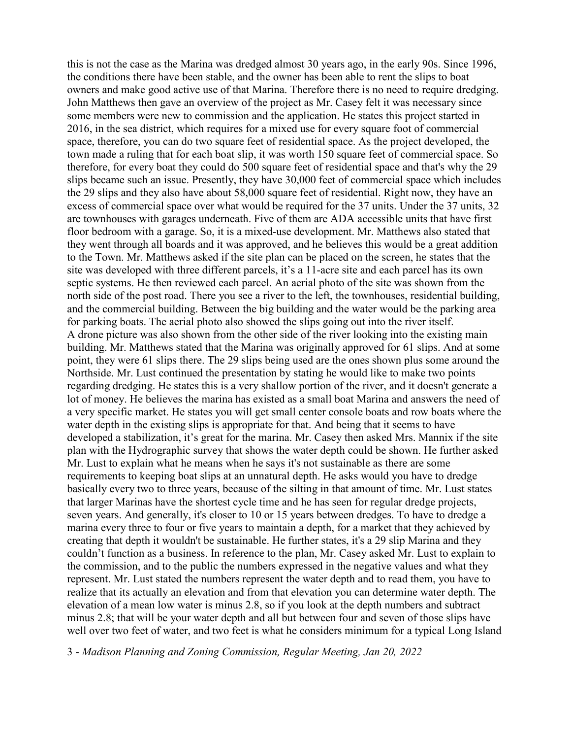this is not the case as the Marina was dredged almost 30 years ago, in the early 90s. Since 1996, the conditions there have been stable, and the owner has been able to rent the slips to boat owners and make good active use of that Marina. Therefore there is no need to require dredging. John Matthews then gave an overview of the project as Mr. Casey felt it was necessary since some members were new to commission and the application. He states this project started in 2016, in the sea district, which requires for a mixed use for every square foot of commercial space, therefore, you can do two square feet of residential space. As the project developed, the town made a ruling that for each boat slip, it was worth 150 square feet of commercial space. So therefore, for every boat they could do 500 square feet of residential space and that's why the 29 slips became such an issue. Presently, they have 30,000 feet of commercial space which includes the 29 slips and they also have about 58,000 square feet of residential. Right now, they have an excess of commercial space over what would be required for the 37 units. Under the 37 units, 32 are townhouses with garages underneath. Five of them are ADA accessible units that have first floor bedroom with a garage. So, it is a mixed-use development. Mr. Matthews also stated that they went through all boards and it was approved, and he believes this would be a great addition to the Town. Mr. Matthews asked if the site plan can be placed on the screen, he states that the site was developed with three different parcels, it's a 11-acre site and each parcel has its own septic systems. He then reviewed each parcel. An aerial photo of the site was shown from the north side of the post road. There you see a river to the left, the townhouses, residential building, and the commercial building. Between the big building and the water would be the parking area for parking boats. The aerial photo also showed the slips going out into the river itself. A drone picture was also shown from the other side of the river looking into the existing main building. Mr. Matthews stated that the Marina was originally approved for 61 slips. And at some point, they were 61 slips there. The 29 slips being used are the ones shown plus some around the Northside. Mr. Lust continued the presentation by stating he would like to make two points regarding dredging. He states this is a very shallow portion of the river, and it doesn't generate a lot of money. He believes the marina has existed as a small boat Marina and answers the need of a very specific market. He states you will get small center console boats and row boats where the water depth in the existing slips is appropriate for that. And being that it seems to have developed a stabilization, it's great for the marina. Mr. Casey then asked Mrs. Mannix if the site plan with the Hydrographic survey that shows the water depth could be shown. He further asked Mr. Lust to explain what he means when he says it's not sustainable as there are some requirements to keeping boat slips at an unnatural depth. He asks would you have to dredge basically every two to three years, because of the silting in that amount of time. Mr. Lust states that larger Marinas have the shortest cycle time and he has seen for regular dredge projects, seven years. And generally, it's closer to 10 or 15 years between dredges. To have to dredge a marina every three to four or five years to maintain a depth, for a market that they achieved by creating that depth it wouldn't be sustainable. He further states, it's a 29 slip Marina and they couldn't function as a business. In reference to the plan, Mr. Casey asked Mr. Lust to explain to the commission, and to the public the numbers expressed in the negative values and what they represent. Mr. Lust stated the numbers represent the water depth and to read them, you have to realize that its actually an elevation and from that elevation you can determine water depth. The elevation of a mean low water is minus 2.8, so if you look at the depth numbers and subtract minus 2.8; that will be your water depth and all but between four and seven of those slips have well over two feet of water, and two feet is what he considers minimum for a typical Long Island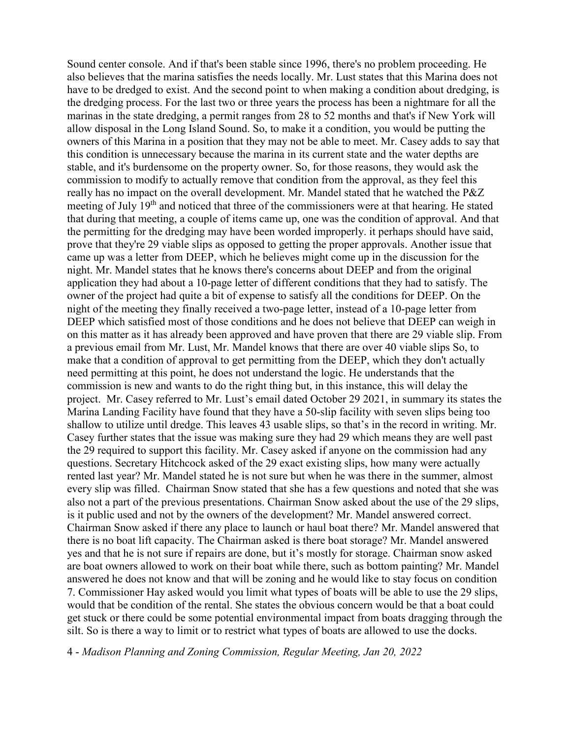Sound center console. And if that's been stable since 1996, there's no problem proceeding. He also believes that the marina satisfies the needs locally. Mr. Lust states that this Marina does not have to be dredged to exist. And the second point to when making a condition about dredging, is the dredging process. For the last two or three years the process has been a nightmare for all the marinas in the state dredging, a permit ranges from 28 to 52 months and that's if New York will allow disposal in the Long Island Sound. So, to make it a condition, you would be putting the owners of this Marina in a position that they may not be able to meet. Mr. Casey adds to say that this condition is unnecessary because the marina in its current state and the water depths are stable, and it's burdensome on the property owner. So, for those reasons, they would ask the commission to modify to actually remove that condition from the approval, as they feel this really has no impact on the overall development. Mr. Mandel stated that he watched the P&Z meeting of July 19<sup>th</sup> and noticed that three of the commissioners were at that hearing. He stated that during that meeting, a couple of items came up, one was the condition of approval. And that the permitting for the dredging may have been worded improperly. it perhaps should have said, prove that they're 29 viable slips as opposed to getting the proper approvals. Another issue that came up was a letter from DEEP, which he believes might come up in the discussion for the night. Mr. Mandel states that he knows there's concerns about DEEP and from the original application they had about a 10-page letter of different conditions that they had to satisfy. The owner of the project had quite a bit of expense to satisfy all the conditions for DEEP. On the night of the meeting they finally received a two-page letter, instead of a 10-page letter from DEEP which satisfied most of those conditions and he does not believe that DEEP can weigh in on this matter as it has already been approved and have proven that there are 29 viable slip. From a previous email from Mr. Lust, Mr. Mandel knows that there are over 40 viable slips So, to make that a condition of approval to get permitting from the DEEP, which they don't actually need permitting at this point, he does not understand the logic. He understands that the commission is new and wants to do the right thing but, in this instance, this will delay the project. Mr. Casey referred to Mr. Lust's email dated October 29 2021, in summary its states the Marina Landing Facility have found that they have a 50-slip facility with seven slips being too shallow to utilize until dredge. This leaves 43 usable slips, so that's in the record in writing. Mr. Casey further states that the issue was making sure they had 29 which means they are well past the 29 required to support this facility. Mr. Casey asked if anyone on the commission had any questions. Secretary Hitchcock asked of the 29 exact existing slips, how many were actually rented last year? Mr. Mandel stated he is not sure but when he was there in the summer, almost every slip was filled. Chairman Snow stated that she has a few questions and noted that she was also not a part of the previous presentations. Chairman Snow asked about the use of the 29 slips, is it public used and not by the owners of the development? Mr. Mandel answered correct. Chairman Snow asked if there any place to launch or haul boat there? Mr. Mandel answered that there is no boat lift capacity. The Chairman asked is there boat storage? Mr. Mandel answered yes and that he is not sure if repairs are done, but it's mostly for storage. Chairman snow asked are boat owners allowed to work on their boat while there, such as bottom painting? Mr. Mandel answered he does not know and that will be zoning and he would like to stay focus on condition 7. Commissioner Hay asked would you limit what types of boats will be able to use the 29 slips, would that be condition of the rental. She states the obvious concern would be that a boat could get stuck or there could be some potential environmental impact from boats dragging through the silt. So is there a way to limit or to restrict what types of boats are allowed to use the docks.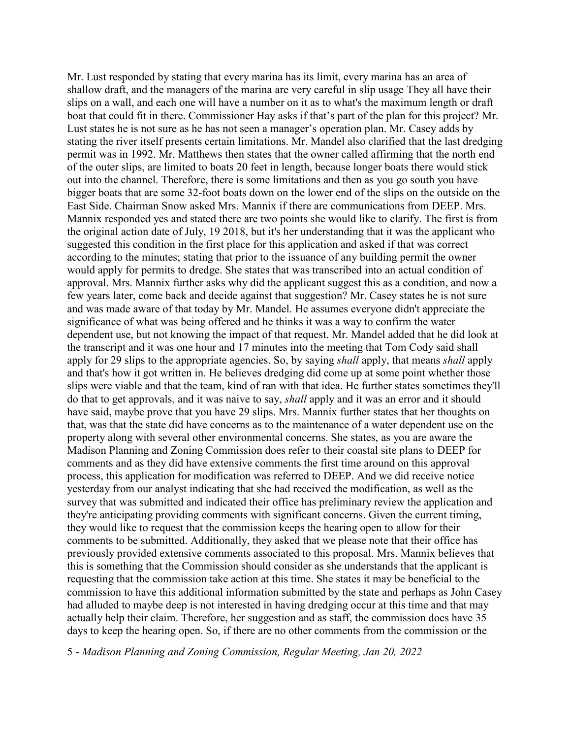Mr. Lust responded by stating that every marina has its limit, every marina has an area of shallow draft, and the managers of the marina are very careful in slip usage They all have their slips on a wall, and each one will have a number on it as to what's the maximum length or draft boat that could fit in there. Commissioner Hay asks if that's part of the plan for this project? Mr. Lust states he is not sure as he has not seen a manager's operation plan. Mr. Casey adds by stating the river itself presents certain limitations. Mr. Mandel also clarified that the last dredging permit was in 1992. Mr. Matthews then states that the owner called affirming that the north end of the outer slips, are limited to boats 20 feet in length, because longer boats there would stick out into the channel. Therefore, there is some limitations and then as you go south you have bigger boats that are some 32-foot boats down on the lower end of the slips on the outside on the East Side. Chairman Snow asked Mrs. Mannix if there are communications from DEEP. Mrs. Mannix responded yes and stated there are two points she would like to clarify. The first is from the original action date of July, 19 2018, but it's her understanding that it was the applicant who suggested this condition in the first place for this application and asked if that was correct according to the minutes; stating that prior to the issuance of any building permit the owner would apply for permits to dredge. She states that was transcribed into an actual condition of approval. Mrs. Mannix further asks why did the applicant suggest this as a condition, and now a few years later, come back and decide against that suggestion? Mr. Casey states he is not sure and was made aware of that today by Mr. Mandel. He assumes everyone didn't appreciate the significance of what was being offered and he thinks it was a way to confirm the water dependent use, but not knowing the impact of that request. Mr. Mandel added that he did look at the transcript and it was one hour and 17 minutes into the meeting that Tom Cody said shall apply for 29 slips to the appropriate agencies. So, by saying *shall* apply, that means *shall* apply and that's how it got written in. He believes dredging did come up at some point whether those slips were viable and that the team, kind of ran with that idea. He further states sometimes they'll do that to get approvals, and it was naive to say, *shall* apply and it was an error and it should have said, maybe prove that you have 29 slips. Mrs. Mannix further states that her thoughts on that, was that the state did have concerns as to the maintenance of a water dependent use on the property along with several other environmental concerns. She states, as you are aware the Madison Planning and Zoning Commission does refer to their coastal site plans to DEEP for comments and as they did have extensive comments the first time around on this approval process, this application for modification was referred to DEEP. And we did receive notice yesterday from our analyst indicating that she had received the modification, as well as the survey that was submitted and indicated their office has preliminary review the application and they're anticipating providing comments with significant concerns. Given the current timing, they would like to request that the commission keeps the hearing open to allow for their comments to be submitted. Additionally, they asked that we please note that their office has previously provided extensive comments associated to this proposal. Mrs. Mannix believes that this is something that the Commission should consider as she understands that the applicant is requesting that the commission take action at this time. She states it may be beneficial to the commission to have this additional information submitted by the state and perhaps as John Casey had alluded to maybe deep is not interested in having dredging occur at this time and that may actually help their claim. Therefore, her suggestion and as staff, the commission does have 35 days to keep the hearing open. So, if there are no other comments from the commission or the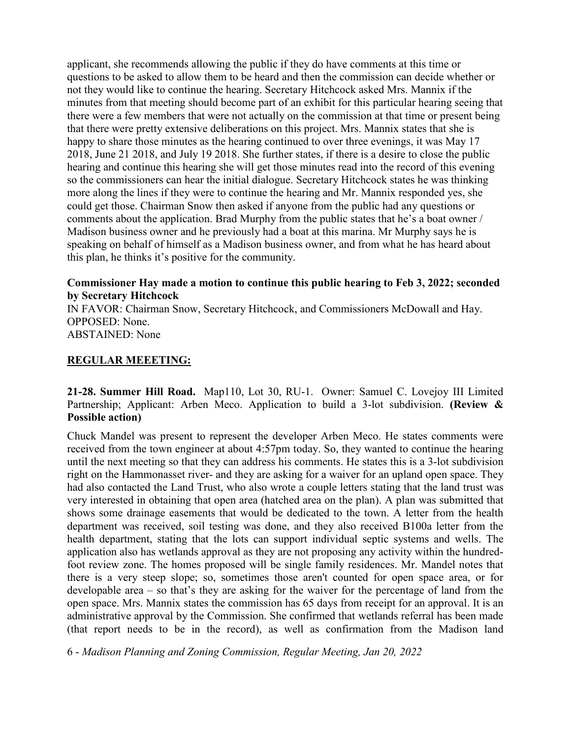applicant, she recommends allowing the public if they do have comments at this time or questions to be asked to allow them to be heard and then the commission can decide whether or not they would like to continue the hearing. Secretary Hitchcock asked Mrs. Mannix if the minutes from that meeting should become part of an exhibit for this particular hearing seeing that there were a few members that were not actually on the commission at that time or present being that there were pretty extensive deliberations on this project. Mrs. Mannix states that she is happy to share those minutes as the hearing continued to over three evenings, it was May 17 2018, June 21 2018, and July 19 2018. She further states, if there is a desire to close the public hearing and continue this hearing she will get those minutes read into the record of this evening so the commissioners can hear the initial dialogue. Secretary Hitchcock states he was thinking more along the lines if they were to continue the hearing and Mr. Mannix responded yes, she could get those. Chairman Snow then asked if anyone from the public had any questions or comments about the application. Brad Murphy from the public states that he's a boat owner / Madison business owner and he previously had a boat at this marina. Mr Murphy says he is speaking on behalf of himself as a Madison business owner, and from what he has heard about this plan, he thinks it's positive for the community.

### **Commissioner Hay made a motion to continue this public hearing to Feb 3, 2022; seconded by Secretary Hitchcock**

IN FAVOR: Chairman Snow, Secretary Hitchcock, and Commissioners McDowall and Hay. OPPOSED: None. ABSTAINED: None

## **REGULAR MEEETING:**

# **21-28. Summer Hill Road.** Map110, Lot 30, RU-1. Owner: Samuel C. Lovejoy III Limited Partnership; Applicant: Arben Meco. Application to build a 3-lot subdivision. **(Review & Possible action)**

Chuck Mandel was present to represent the developer Arben Meco. He states comments were received from the town engineer at about 4:57pm today. So, they wanted to continue the hearing until the next meeting so that they can address his comments. He states this is a 3-lot subdivision right on the Hammonasset river- and they are asking for a waiver for an upland open space. They had also contacted the Land Trust, who also wrote a couple letters stating that the land trust was very interested in obtaining that open area (hatched area on the plan). A plan was submitted that shows some drainage easements that would be dedicated to the town. A letter from the health department was received, soil testing was done, and they also received B100a letter from the health department, stating that the lots can support individual septic systems and wells. The application also has wetlands approval as they are not proposing any activity within the hundredfoot review zone. The homes proposed will be single family residences. Mr. Mandel notes that there is a very steep slope; so, sometimes those aren't counted for open space area, or for developable area – so that's they are asking for the waiver for the percentage of land from the open space. Mrs. Mannix states the commission has 65 days from receipt for an approval. It is an administrative approval by the Commission. She confirmed that wetlands referral has been made (that report needs to be in the record), as well as confirmation from the Madison land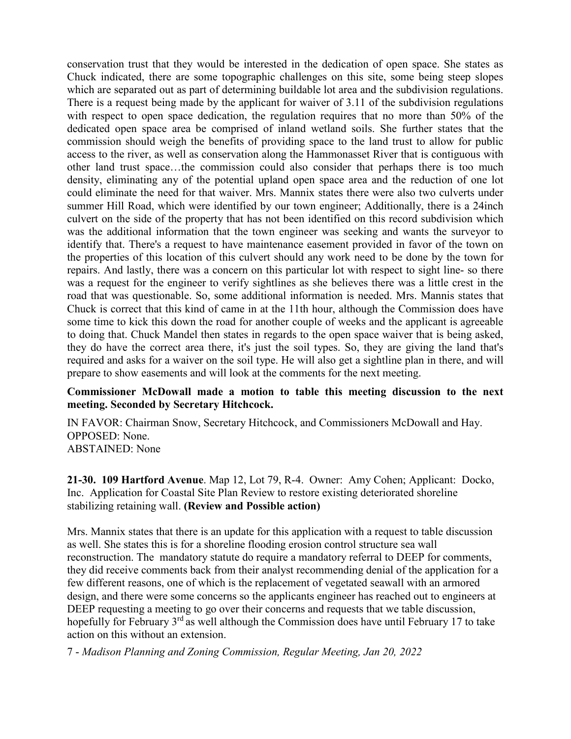conservation trust that they would be interested in the dedication of open space. She states as Chuck indicated, there are some topographic challenges on this site, some being steep slopes which are separated out as part of determining buildable lot area and the subdivision regulations. There is a request being made by the applicant for waiver of 3.11 of the subdivision regulations with respect to open space dedication, the regulation requires that no more than 50% of the dedicated open space area be comprised of inland wetland soils. She further states that the commission should weigh the benefits of providing space to the land trust to allow for public access to the river, as well as conservation along the Hammonasset River that is contiguous with other land trust space…the commission could also consider that perhaps there is too much density, eliminating any of the potential upland open space area and the reduction of one lot could eliminate the need for that waiver. Mrs. Mannix states there were also two culverts under summer Hill Road, which were identified by our town engineer; Additionally, there is a 24inch culvert on the side of the property that has not been identified on this record subdivision which was the additional information that the town engineer was seeking and wants the surveyor to identify that. There's a request to have maintenance easement provided in favor of the town on the properties of this location of this culvert should any work need to be done by the town for repairs. And lastly, there was a concern on this particular lot with respect to sight line- so there was a request for the engineer to verify sightlines as she believes there was a little crest in the road that was questionable. So, some additional information is needed. Mrs. Mannis states that Chuck is correct that this kind of came in at the 11th hour, although the Commission does have some time to kick this down the road for another couple of weeks and the applicant is agreeable to doing that. Chuck Mandel then states in regards to the open space waiver that is being asked, they do have the correct area there, it's just the soil types. So, they are giving the land that's required and asks for a waiver on the soil type. He will also get a sightline plan in there, and will prepare to show easements and will look at the comments for the next meeting.

### **Commissioner McDowall made a motion to table this meeting discussion to the next meeting. Seconded by Secretary Hitchcock.**

IN FAVOR: Chairman Snow, Secretary Hitchcock, and Commissioners McDowall and Hay. OPPOSED: None. ABSTAINED: None

**21-30. 109 Hartford Avenue**. Map 12, Lot 79, R-4. Owner: Amy Cohen; Applicant: Docko, Inc. Application for Coastal Site Plan Review to restore existing deteriorated shoreline stabilizing retaining wall. **(Review and Possible action)**

Mrs. Mannix states that there is an update for this application with a request to table discussion as well. She states this is for a shoreline flooding erosion control structure sea wall reconstruction. The mandatory statute do require a mandatory referral to DEEP for comments, they did receive comments back from their analyst recommending denial of the application for a few different reasons, one of which is the replacement of vegetated seawall with an armored design, and there were some concerns so the applicants engineer has reached out to engineers at DEEP requesting a meeting to go over their concerns and requests that we table discussion, hopefully for February  $3<sup>rd</sup>$  as well although the Commission does have until February 17 to take action on this without an extension.